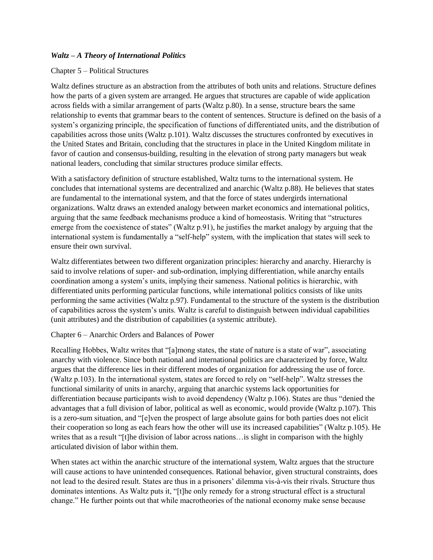## *Waltz – A Theory of International Politics*

## Chapter 5 – Political Structures

Waltz defines structure as an abstraction from the attributes of both units and relations. Structure defines how the parts of a given system are arranged. He argues that structures are capable of wide application across fields with a similar arrangement of parts (Waltz p.80). In a sense, structure bears the same relationship to events that grammar bears to the content of sentences. Structure is defined on the basis of a system's organizing principle, the specification of functions of differentiated units, and the distribution of capabilities across those units (Waltz p.101). Waltz discusses the structures confronted by executives in the United States and Britain, concluding that the structures in place in the United Kingdom militate in favor of caution and consensus-building, resulting in the elevation of strong party managers but weak national leaders, concluding that similar structures produce similar effects.

With a satisfactory definition of structure established, Waltz turns to the international system. He concludes that international systems are decentralized and anarchic (Waltz p.88). He believes that states are fundamental to the international system, and that the force of states undergirds international organizations. Waltz draws an extended analogy between market economics and international politics, arguing that the same feedback mechanisms produce a kind of homeostasis. Writing that "structures emerge from the coexistence of states" (Waltz p.91), he justifies the market analogy by arguing that the international system is fundamentally a "self-help" system, with the implication that states will seek to ensure their own survival.

Waltz differentiates between two different organization principles: hierarchy and anarchy. Hierarchy is said to involve relations of super- and sub-ordination, implying differentiation, while anarchy entails coordination among a system's units, implying their sameness. National politics is hierarchic, with differentiated units performing particular functions, while international politics consists of like units performing the same activities (Waltz p.97). Fundamental to the structure of the system is the distribution of capabilities across the system's units. Waltz is careful to distinguish between individual capabilities (unit attributes) and the distribution of capabilities (a systemic attribute).

## Chapter 6 – Anarchic Orders and Balances of Power

Recalling Hobbes, Waltz writes that "[a]mong states, the state of nature is a state of war", associating anarchy with violence. Since both national and international politics are characterized by force, Waltz argues that the difference lies in their different modes of organization for addressing the use of force. (Waltz p.103). In the international system, states are forced to rely on "self-help". Waltz stresses the functional similarity of units in anarchy, arguing that anarchic systems lack opportunities for differentiation because participants wish to avoid dependency (Waltz p.106). States are thus "denied the advantages that a full division of labor, political as well as economic, would provide (Waltz p.107). This is a zero-sum situation, and "[e]ven the prospect of large absolute gains for both parties does not elicit their cooperation so long as each fears how the other will use its increased capabilities" (Waltz p.105). He writes that as a result "[t]he division of labor across nations…is slight in comparison with the highly articulated division of labor within them.

When states act within the anarchic structure of the international system, Waltz argues that the structure will cause actions to have unintended consequences. Rational behavior, given structural constraints, does not lead to the desired result. States are thus in a prisoners' dilemma vis-à-vis their rivals. Structure thus dominates intentions. As Waltz puts it, "[t]he only remedy for a strong structural effect is a structural change." He further points out that while macrotheories of the national economy make sense because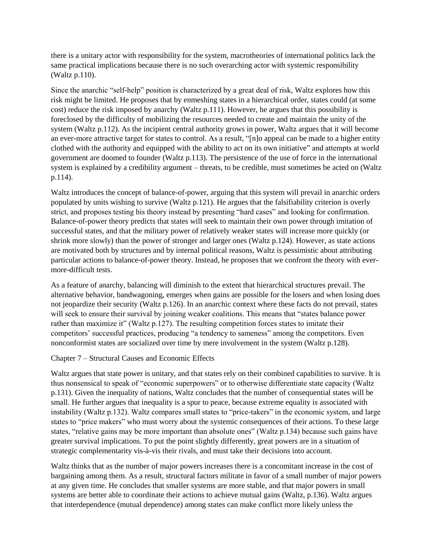there is a unitary actor with responsibility for the system, macrotheories of international politics lack the same practical implications because there is no such overarching actor with systemic responsibility (Waltz p.110).

Since the anarchic "self-help" position is characterized by a great deal of risk, Waltz explores how this risk might be limited. He proposes that by enmeshing states in a hierarchical order, states could (at some cost) reduce the risk imposed by anarchy (Waltz p.111). However, he argues that this possibility is foreclosed by the difficulty of mobilizing the resources needed to create and maintain the unity of the system (Waltz p.112). As the incipient central authority grows in power, Waltz argues that it will become an ever-more attractive target for states to control. As a result, "[n]o appeal can be made to a higher entity clothed with the authority and equipped with the ability to act on its own initiative" and attempts at world government are doomed to founder (Waltz p.113). The persistence of the use of force in the international system is explained by a credibility argument – threats, to be credible, must sometimes be acted on (Waltz p.114).

Waltz introduces the concept of balance-of-power, arguing that this system will prevail in anarchic orders populated by units wishing to survive (Waltz p.121). He argues that the falsifiability criterion is overly strict, and proposes testing his theory instead by presenting "hard cases" and looking for confirmation. Balance-of-power theory predicts that states will seek to maintain their own power through imitation of successful states, and that the military power of relatively weaker states will increase more quickly (or shrink more slowly) than the power of stronger and larger ones (Waltz p.124). However, as state actions are motivated both by structures and by internal political reasons, Waltz is pessimistic about attributing particular actions to balance-of-power theory. Instead, he proposes that we confront the theory with evermore-difficult tests.

As a feature of anarchy, balancing will diminish to the extent that hierarchical structures prevail. The alternative behavior, bandwagoning, emerges when gains are possible for the losers and when losing does not jeopardize their security (Waltz p.126). In an anarchic context where these facts do not prevail, states will seek to ensure their survival by joining weaker coalitions. This means that "states balance power rather than maximize it" (Waltz p.127). The resulting competition forces states to imitate their competitors' successful practices, producing "a tendency to sameness" among the competitors. Even nonconformist states are socialized over time by mere involvement in the system (Waltz p.128).

## Chapter 7 – Structural Causes and Economic Effects

Waltz argues that state power is unitary, and that states rely on their combined capabilities to survive. It is thus nonsensical to speak of "economic superpowers" or to otherwise differentiate state capacity (Waltz p.131). Given the inequality of nations, Waltz concludes that the number of consequential states will be small. He further argues that inequality is a spur to peace, because extreme equality is associated with instability (Waltz p.132). Waltz compares small states to "price-takers" in the economic system, and large states to "price makers" who must worry about the systemic consequences of their actions. To these large states, "relative gains may be more important than absolute ones" (Waltz p.134) because such gains have greater survival implications. To put the point slightly differently, great powers are in a situation of strategic complementarity vis-à-vis their rivals, and must take their decisions into account.

Waltz thinks that as the number of major powers increases there is a concomitant increase in the cost of bargaining among them. As a result, structural factors militate in favor of a small number of major powers at any given time. He concludes that smaller systems are more stable, and that major powers in small systems are better able to coordinate their actions to achieve mutual gains (Waltz, p.136). Waltz argues that interdependence (mutual dependence) among states can make conflict more likely unless the